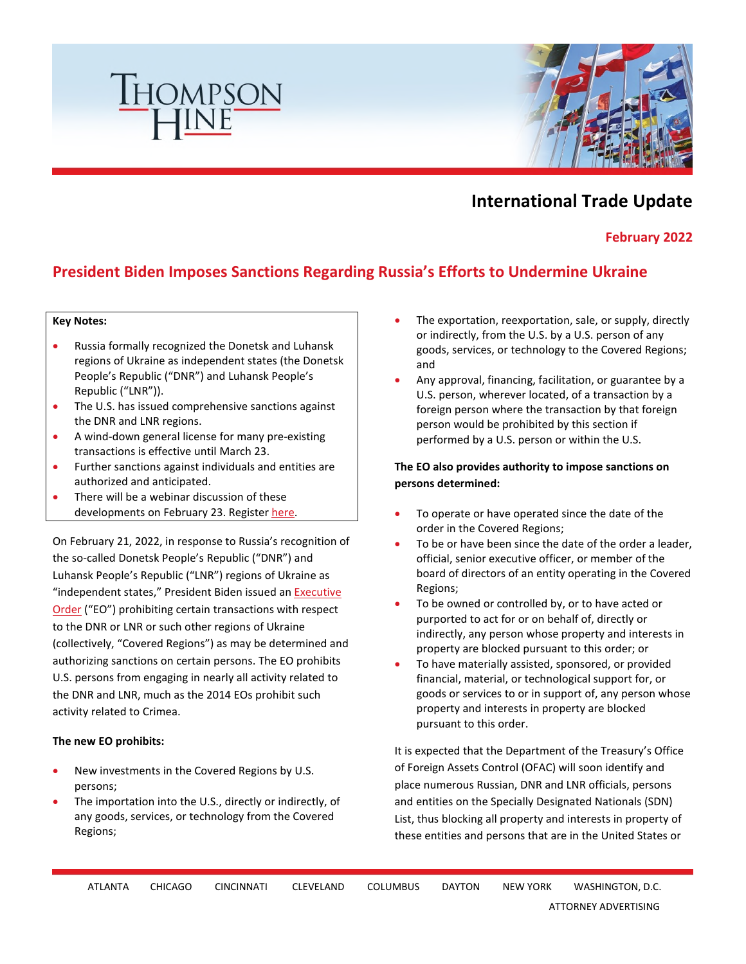

# **International Trade Update**

**February 2022** 

# **President Biden Imposes Sanctions Regarding Russia's Efforts to Undermine Ukraine**

#### **Key Notes:**

- Russia formally recognized the Donetsk and Luhansk regions of Ukraine as independent states (the Donetsk People's Republic ("DNR") and Luhansk People's Republic ("LNR")).
- The U.S. has issued comprehensive sanctions against the DNR and LNR regions.
- A wind-down general license for many pre-existing transactions is effective until March 23.
- Further sanctions against individuals and entities are authorized and anticipated.
- There will be a webinar discussion of these developments on February 23. Register [here.](https://www.thompsonhine.com/events/the-global-ripple-effect-of-the-ukraine-and-russia-crisis-the-potential-impact-of-sanctions)

On February 21, 2022, in response to Russia's recognition of the so-called Donetsk People's Republic ("DNR") and Luhansk People's Republic ("LNR") regions of Ukraine as "independent states," President Biden issued an [Executive](https://www.whitehouse.gov/briefing-room/presidential-actions/2022/02/21/executive-order-on-blocking-property-of-certain-persons-and-prohibiting-certain-transactions-with-respect-to-continued-russian-efforts-to-undermine-the-sovereignty-and-territorial-integrity-of-ukraine/)  [Order \("EO"\) prohibiting certain transactions with respect](https://www.whitehouse.gov/briefing-room/presidential-actions/2022/02/21/executive-order-on-blocking-property-of-certain-persons-and-prohibiting-certain-transactions-with-respect-to-continued-russian-efforts-to-undermine-the-sovereignty-and-territorial-integrity-of-ukraine/)  to the DNR or LNR or such other regions of Ukraine (collectively, "Covered Regions") as may be determined and authorizing sanctions on certain persons. The EO prohibits U.S. persons from engaging in nearly all activity related to the DNR and LNR, much as the 2014 EOs prohibit such activity related to Crimea.

#### **The new EO prohibits:**

- New investments in the Covered Regions by U.S. persons;
- The importation into the U.S., directly or indirectly, of any goods, services, or technology from the Covered Regions;
- The exportation, reexportation, sale, or supply, directly or indirectly, from the U.S. by a U.S. person of any goods, services, or technology to the Covered Regions; and
- Any approval, financing, facilitation, or guarantee by a U.S. person, wherever located, of a transaction by a foreign person where the transaction by that foreign person would be prohibited by this section if performed by a U.S. person or within the U.S.

### **The EO also provides authority to impose sanctions on persons determined:**

- To operate or have operated since the date of the order in the Covered Regions;
- To be or have been since the date of the order a leader, official, senior executive officer, or member of the board of directors of an entity operating in the Covered Regions;
- To be owned or controlled by, or to have acted or purported to act for or on behalf of, directly or indirectly, any person whose property and interests in property are blocked pursuant to this order; or
- To have materially assisted, sponsored, or provided financial, material, or technological support for, or goods or services to or in support of, any person whose property and interests in property are blocked pursuant to this order.

It is expected that the Department of the Treasury's Office of Foreign Assets Control (OFAC) will soon identify and place numerous Russian, DNR and LNR officials, persons and entities on the Specially Designated Nationals (SDN) List, thus blocking all property and interests in property of these entities and persons that are in the United States or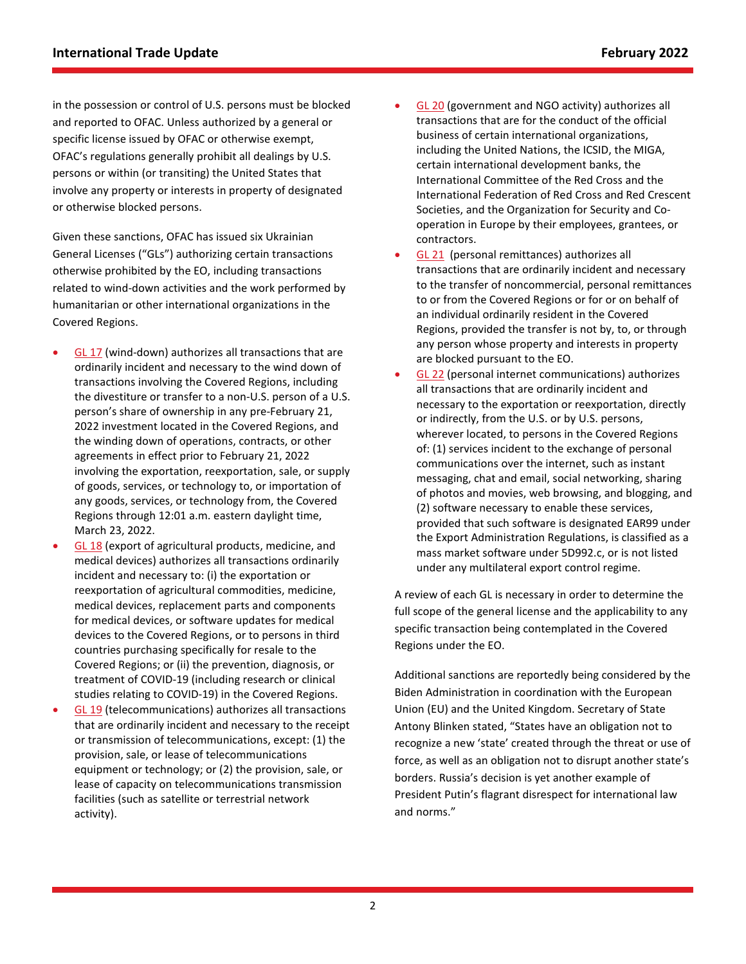in the possession or control of U.S. persons must be blocked and reported to OFAC. Unless authorized by a general or specific license issued by OFAC or otherwise exempt, OFAC's regulations generally prohibit all dealings by U.S. persons or within (or transiting) the United States that involve any property or interests in property of designated or otherwise blocked persons.

Given these sanctions, OFAC has issued six Ukrainian General Licenses ("GLs") authorizing certain transactions otherwise prohibited by the EO, including transactions related to wind-down activities and the work performed by humanitarian or other international organizations in the Covered Regions.

- [GL 17](https://home.treasury.gov/system/files/126/ukraine_gl17.pdf) (wind-down) authorizes all transactions that are ordinarily incident and necessary to the wind down of transactions involving the Covered Regions, including the divestiture or transfer to a non-U.S. person of a U.S. person's share of ownership in any pre-February 21, 2022 investment located in the Covered Regions, and the winding down of operations, contracts, or other agreements in effect prior to February 21, 2022 involving the exportation, reexportation, sale, or supply of goods, services, or technology to, or importation of any goods, services, or technology from, the Covered Regions through 12:01 a.m. eastern daylight time, March 23, 2022.
- [GL 18](https://home.treasury.gov/system/files/126/ukraine_gl18.pdf) (export of agricultural products, medicine, and medical devices) authorizes all transactions ordinarily incident and necessary to: (i) the exportation or reexportation of agricultural commodities, medicine, medical devices, replacement parts and components for medical devices, or software updates for medical devices to the Covered Regions, or to persons in third countries purchasing specifically for resale to the Covered Regions; or (ii) the prevention, diagnosis, or treatment of COVID-19 (including research or clinical studies relating to COVID-19) in the Covered Regions.
- [GL 19](https://home.treasury.gov/system/files/126/ukraine_gl19.pdf) (telecommunications) authorizes all transactions that are ordinarily incident and necessary to the receipt or transmission of telecommunications, except: (1) the provision, sale, or lease of telecommunications equipment or technology; or (2) the provision, sale, or lease of capacity on telecommunications transmission facilities (such as satellite or terrestrial network activity).
- [GL 20](https://home.treasury.gov/system/files/126/ukraine_gl20.pdf) (government and NGO activity) authorizes all transactions that are for the conduct of the official business of certain international organizations, including the United Nations, the ICSID, the MIGA, certain international development banks, the International Committee of the Red Cross and the International Federation of Red Cross and Red Crescent Societies, and the Organization for Security and Cooperation in Europe by their employees, grantees, or contractors.
- [GL 21](https://home.treasury.gov/system/files/126/ukraine_gl21.pdf) (personal remittances) authorizes all transactions that are ordinarily incident and necessary to the transfer of noncommercial, personal remittances to or from the Covered Regions or for or on behalf of an individual ordinarily resident in the Covered Regions, provided the transfer is not by, to, or through any person whose property and interests in property are blocked pursuant to the EO.
- [GL 22](https://home.treasury.gov/system/files/126/ukraine_gl22.pdf) (personal internet communications) authorizes all transactions that are ordinarily incident and necessary to the exportation or reexportation, directly or indirectly, from the U.S. or by U.S. persons, wherever located, to persons in the Covered Regions of: (1) services incident to the exchange of personal communications over the internet, such as instant messaging, chat and email, social networking, sharing of photos and movies, web browsing, and blogging, and (2) software necessary to enable these services, provided that such software is designated EAR99 under the Export Administration Regulations, is classified as a mass market software under 5D992.c, or is not listed under any multilateral export control regime.

A review of each GL is necessary in order to determine the full scope of the general license and the applicability to any specific transaction being contemplated in the Covered Regions under the EO.

Additional sanctions are reportedly being considered by the Biden Administration in coordination with the European Union (EU) and the United Kingdom. Secretary of State Antony Blinken stated, "States have an obligation not to recognize a new 'state' created through the threat or use of force, as well as an obligation not to disrupt another state's borders. Russia's decision is yet another example of President Putin's flagrant disrespect for international law and norms."